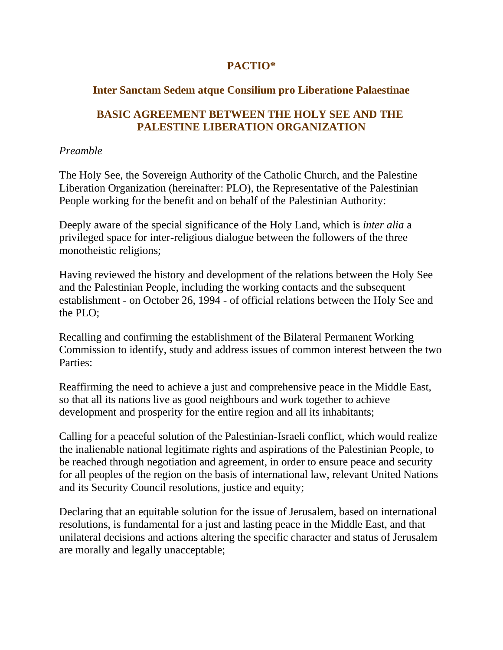# **PACTIO\***

# **Inter Sanctam Sedem atque Consilium pro Liberatione Palaestinae**

# **BASIC AGREEMENT BETWEEN THE HOLY SEE AND THE PALESTINE LIBERATION ORGANIZATION**

### *Preamble*

The Holy See, the Sovereign Authority of the Catholic Church, and the Palestine Liberation Organization (hereinafter: PLO), the Representative of the Palestinian People working for the benefit and on behalf of the Palestinian Authority:

Deeply aware of the special significance of the Holy Land, which is *inter alia* a privileged space for inter-religious dialogue between the followers of the three monotheistic religions;

Having reviewed the history and development of the relations between the Holy See and the Palestinian People, including the working contacts and the subsequent establishment - on October 26, 1994 - of official relations between the Holy See and the PLO;

Recalling and confirming the establishment of the Bilateral Permanent Working Commission to identify, study and address issues of common interest between the two Parties:

Reaffirming the need to achieve a just and comprehensive peace in the Middle East, so that all its nations live as good neighbours and work together to achieve development and prosperity for the entire region and all its inhabitants;

Calling for a peaceful solution of the Palestinian-Israeli conflict, which would realize the inalienable national legitimate rights and aspirations of the Palestinian People, to be reached through negotiation and agreement, in order to ensure peace and security for all peoples of the region on the basis of international law, relevant United Nations and its Security Council resolutions, justice and equity;

Declaring that an equitable solution for the issue of Jerusalem, based on international resolutions, is fundamental for a just and lasting peace in the Middle East, and that unilateral decisions and actions altering the specific character and status of Jerusalem are morally and legally unacceptable;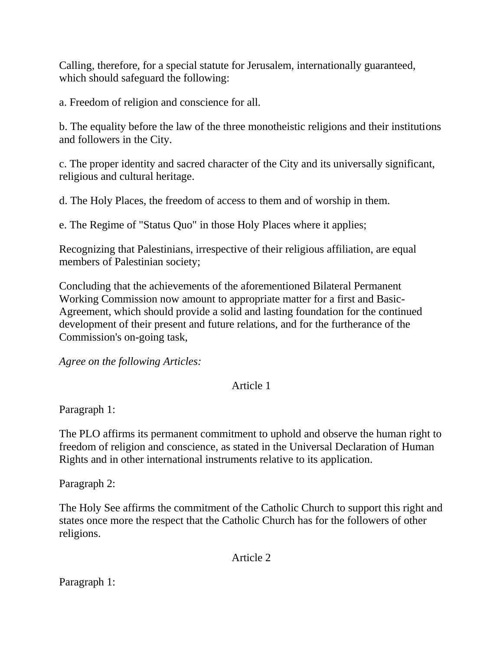Calling, therefore, for a special statute for Jerusalem, internationally guaranteed, which should safeguard the following:

a. Freedom of religion and conscience for all.

b. The equality before the law of the three monotheistic religions and their institutions and followers in the City.

c. The proper identity and sacred character of the City and its universally significant, religious and cultural heritage.

d. The Holy Places, the freedom of access to them and of worship in them.

e. The Regime of "Status Quo" in those Holy Places where it applies;

Recognizing that Palestinians, irrespective of their religious affiliation, are equal members of Palestinian society;

Concluding that the achievements of the aforementioned Bilateral Permanent Working Commission now amount to appropriate matter for a first and Basic-Agreement, which should provide a solid and lasting foundation for the continued development of their present and future relations, and for the furtherance of the Commission's on-going task,

*Agree on the following Articles:*

## Article 1

Paragraph 1:

The PLO affirms its permanent commitment to uphold and observe the human right to freedom of religion and conscience, as stated in the Universal Declaration of Human Rights and in other international instruments relative to its application.

Paragraph 2:

The Holy See affirms the commitment of the Catholic Church to support this right and states once more the respect that the Catholic Church has for the followers of other religions.

Article 2

Paragraph 1: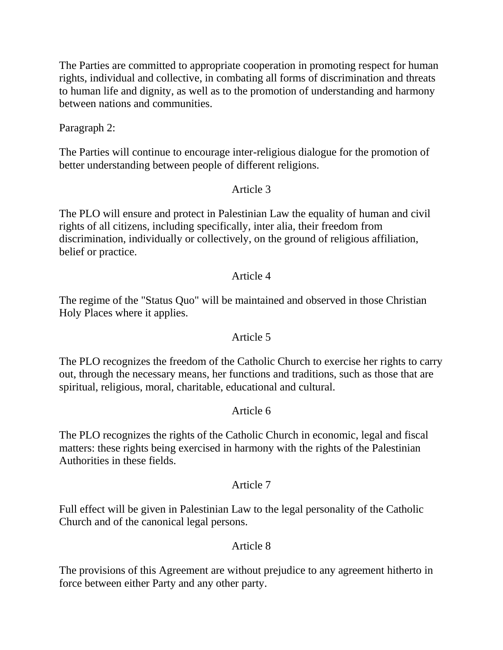The Parties are committed to appropriate cooperation in promoting respect for human rights, individual and collective, in combating all forms of discrimination and threats to human life and dignity, as well as to the promotion of understanding and harmony between nations and communities.

Paragraph 2:

The Parties will continue to encourage inter-religious dialogue for the promotion of better understanding between people of different religions.

### Article 3

The PLO will ensure and protect in Palestinian Law the equality of human and civil rights of all citizens, including specifically, inter alia, their freedom from discrimination, individually or collectively, on the ground of religious affiliation, belief or practice.

### Article 4

The regime of the "Status Quo" will be maintained and observed in those Christian Holy Places where it applies.

### Article 5

The PLO recognizes the freedom of the Catholic Church to exercise her rights to carry out, through the necessary means, her functions and traditions, such as those that are spiritual, religious, moral, charitable, educational and cultural.

## Article 6

The PLO recognizes the rights of the Catholic Church in economic, legal and fiscal matters: these rights being exercised in harmony with the rights of the Palestinian Authorities in these fields.

### Article 7

Full effect will be given in Palestinian Law to the legal personality of the Catholic Church and of the canonical legal persons.

## Article 8

The provisions of this Agreement are without prejudice to any agreement hitherto in force between either Party and any other party.